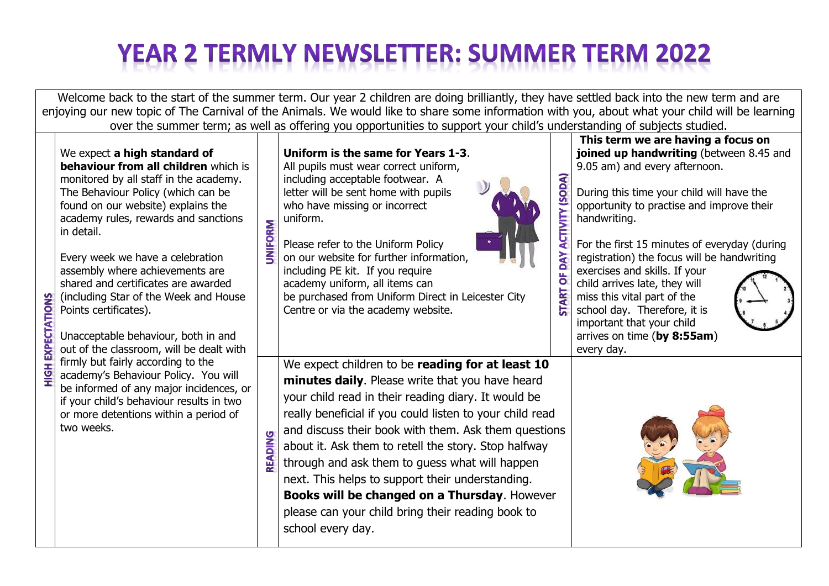## **YEAR 2 TERMLY NEWSLETTER: SUMMER TERM 2022**

Welcome back to the start of the summer term. Our year 2 children are doing brilliantly, they have settled back into the new term and are enjoying our new topic of The Carnival of the Animals. We would like to share some information with you, about what your child will be learning over the summer term; as well as offering you opportunities to support your child's understanding of subjects studied. **This term we are having a focus on**  We expect **a high standard of Uniform is the same for Years 1-3**. **joined up handwriting** (between 8.45 and **behaviour from all children** which is 9.05 am) and every afternoon. All pupils must wear correct uniform, (SODA) monitored by all staff in the academy. including acceptable footwear. A letter will be sent home with pupils During this time your child will have the The Behaviour Policy (which can be found on our website) explains the who have missing or incorrect opportunity to practise and improve their **ACTIVITY** academy rules, rewards and sanctions uniform. handwriting. **UNIFORM** in detail. Please refer to the Uniform Policy For the first 15 minutes of everyday (during **NAO** Every week we have a celebration on our website for further information, registration) the focus will be handwriting assembly where achievements are including PE kit. If you require exercises and skills. If your ö shared and certificates are awarded academy uniform, all items can child arrives late, they will **START** (including Star of the Week and House be purchased from Uniform Direct in Leicester City miss this vital part of the **SNOILY.** Points certificates). Centre or via the academy website. school day. Therefore, it is important that your child Unacceptable behaviour, both in and arrives on time (**by 8:55am**) out of the classroom, will be dealt with every day. firmly but fairly according to the We expect children to be **reading for at least 10**   $\overline{5}$ academy's Behaviour Policy. You will **minutes daily**. Please write that you have heard be informed of any major incidences, or your child read in their reading diary. It would be if your child's behaviour results in two really beneficial if you could listen to your child read or more detentions within a period of two weeks. and discuss their book with them. Ask them questions **READING** about it. Ask them to retell the story. Stop halfway through and ask them to guess what will happen next. This helps to support their understanding. **Books will be changed on a Thursday**. However please can your child bring their reading book to school every day.